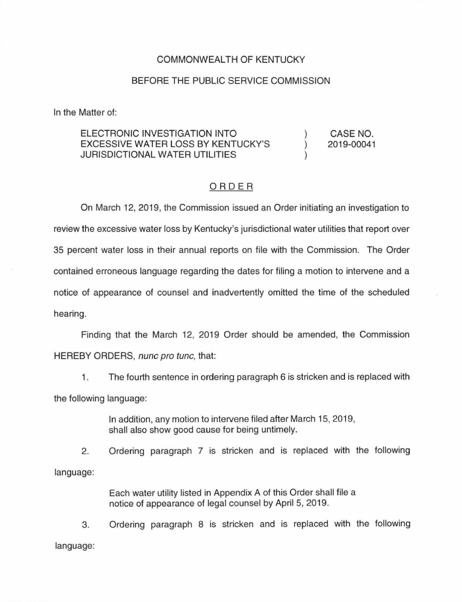## COMMONWEALTH OF KENTUCKY

## BEFORE THE PUBLIC SERVICE COMMISSION

In the Matter of:

## ELECTRONIC INVESTIGATION INTO EXCESSIVE WATER LOSS BY KENTUCKY'S JURISDICTIONAL WATER UTILITIES ) ) ) CASE NO. 2019-00041

## ORDER

On March 12, 2019, the Commission issued an Order initiating an investigation to review the excessive water loss by Kentucky's jurisdictional water utilities that report over 35 percent water loss in their annual reports on file with the Commission. The Order contained erroneous language regarding the dates for filing a motion to intervene and a notice of appearance of counsel and inadvertently omitted the time of the scheduled hearing.

Finding that the March 12, 2019 Order should be amended, the Commission HEREBY ORDERS, nunc pro tunc, that:

1 . The fourth sentence in ordering paragraph 6 is stricken and is replaced with the following language:

> In addition, any motion to intervene filed after March 15, 2019, shall also show good cause for being untimely.

2. Ordering paragraph 7 is stricken and is replaced with the following language:

> Each water utility listed in Appendix A of this Order shall file a notice of appearance of legal counsel by April 5, 2019.

3. Ordering paragraph 8 is stricken and is replaced with the following language: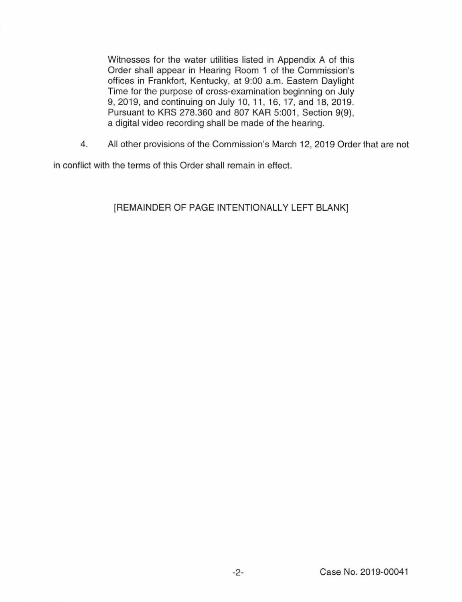Witnesses for the water utilities listed in Appendix A of this Order shall appear in Hearing Room 1 of the Commission's offices in Frankfort, Kentucky, at 9:00 a.m. Eastern Daylight Time for the purpose of cross-examination beginning on July 9, 2019, and continuing on July 10, 11 , 16, 17, and 18, 2019. Pursuant to KRS 278.360 and 807 KAR 5:001, Section 9(9), a digital video recording shall be made of the hearing.

4. All other provisions of the Commission's March 12, 2019 Order that are not

in conflict with the terms of this Order shall remain in effect.

[REMAINDER OF PAGE INTENTIONALLY LEFT BLANK]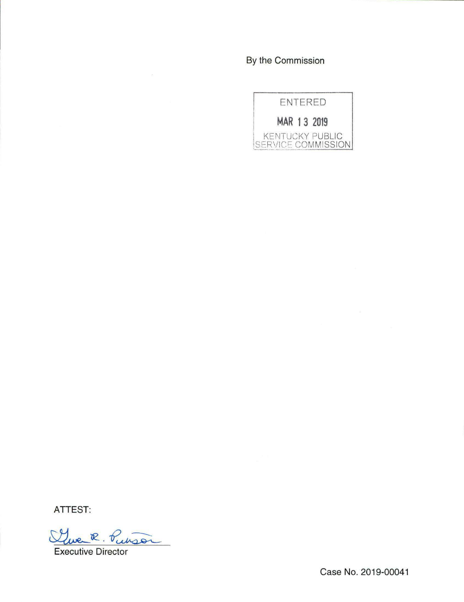By the Commission



ATTEST:

Clue R. Puison

Executive Director

Case No. 2019-00041